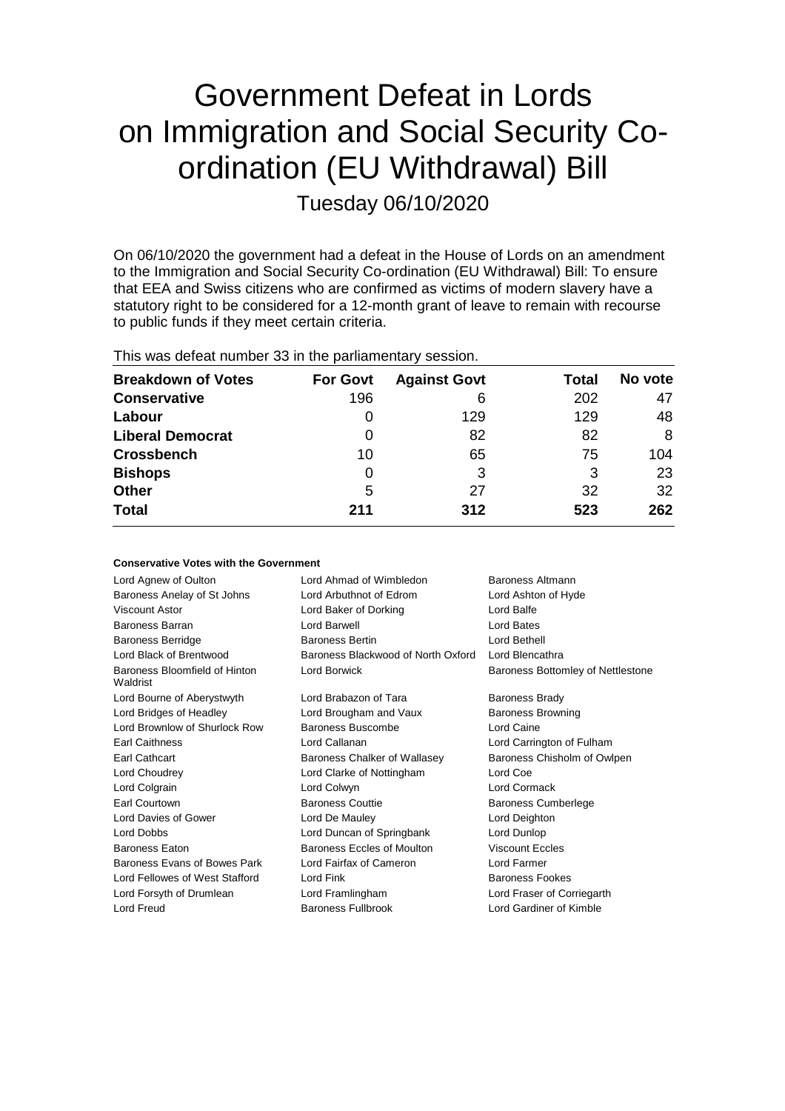# Government Defeat in Lords on Immigration and Social Security Coordination (EU Withdrawal) Bill

Tuesday 06/10/2020

On 06/10/2020 the government had a defeat in the House of Lords on an amendment to the Immigration and Social Security Co-ordination (EU Withdrawal) Bill: To ensure that EEA and Swiss citizens who are confirmed as victims of modern slavery have a statutory right to be considered for a 12-month grant of leave to remain with recourse to public funds if they meet certain criteria.

| This was defeat number 33 in the parliamentary session. |
|---------------------------------------------------------|
|---------------------------------------------------------|

| <b>Breakdown of Votes</b> | <b>For Govt</b> | <b>Against Govt</b> | Total | No vote |
|---------------------------|-----------------|---------------------|-------|---------|
| <b>Conservative</b>       | 196             | 6                   | 202   | 47      |
| Labour                    | 0               | 129                 | 129   | 48      |
| <b>Liberal Democrat</b>   | 0               | 82                  | 82    | 8       |
| <b>Crossbench</b>         | 10              | 65                  | 75    | 104     |
| <b>Bishops</b>            | 0               | 3                   | 3     | 23      |
| <b>Other</b>              | 5               | 27                  | 32    | 32      |
| <b>Total</b>              | 211             | 312                 | 523   | 262     |

| <b>Conservative Votes with the Government</b> |                                    |                                   |
|-----------------------------------------------|------------------------------------|-----------------------------------|
| Lord Agnew of Oulton                          | Lord Ahmad of Wimbledon            | Baroness Altmann                  |
| Baroness Anelay of St Johns                   | Lord Arbuthnot of Edrom            | Lord Ashton of Hyde               |
| Viscount Astor                                | Lord Baker of Dorking              | Lord Balfe                        |
| Baroness Barran                               | Lord Barwell                       | Lord Bates                        |
| <b>Baroness Berridge</b>                      | <b>Baroness Bertin</b>             | Lord Bethell                      |
| Lord Black of Brentwood                       | Baroness Blackwood of North Oxford | Lord Blencathra                   |
| Baroness Bloomfield of Hinton<br>Waldrist     | Lord Borwick                       | Baroness Bottomley of Nettlestone |
| Lord Bourne of Aberystwyth                    | Lord Brabazon of Tara              | <b>Baroness Brady</b>             |
| Lord Bridges of Headley                       | Lord Brougham and Vaux             | <b>Baroness Browning</b>          |
| Lord Brownlow of Shurlock Row                 | Baroness Buscombe                  | Lord Caine                        |
| <b>Earl Caithness</b>                         | Lord Callanan                      | Lord Carrington of Fulham         |
| <b>Earl Cathcart</b>                          | Baroness Chalker of Wallasey       | Baroness Chisholm of Owlpen       |
| Lord Choudrey                                 | Lord Clarke of Nottingham          | Lord Coe                          |
| Lord Colgrain                                 | Lord Colwyn                        | Lord Cormack                      |
| Earl Courtown                                 | <b>Baroness Couttie</b>            | <b>Baroness Cumberlege</b>        |
| Lord Davies of Gower                          | Lord De Mauley                     | Lord Deighton                     |
| Lord Dobbs                                    | Lord Duncan of Springbank          | Lord Dunlop                       |
| <b>Baroness Eaton</b>                         | Baroness Eccles of Moulton         | <b>Viscount Eccles</b>            |
| Baroness Evans of Bowes Park                  | Lord Fairfax of Cameron            | Lord Farmer                       |
| Lord Fellowes of West Stafford                | Lord Fink                          | <b>Baroness Fookes</b>            |
| Lord Forsyth of Drumlean                      | Lord Framlingham                   | Lord Fraser of Corriegarth        |
| Lord Freud                                    | <b>Baroness Fullbrook</b>          | Lord Gardiner of Kimble           |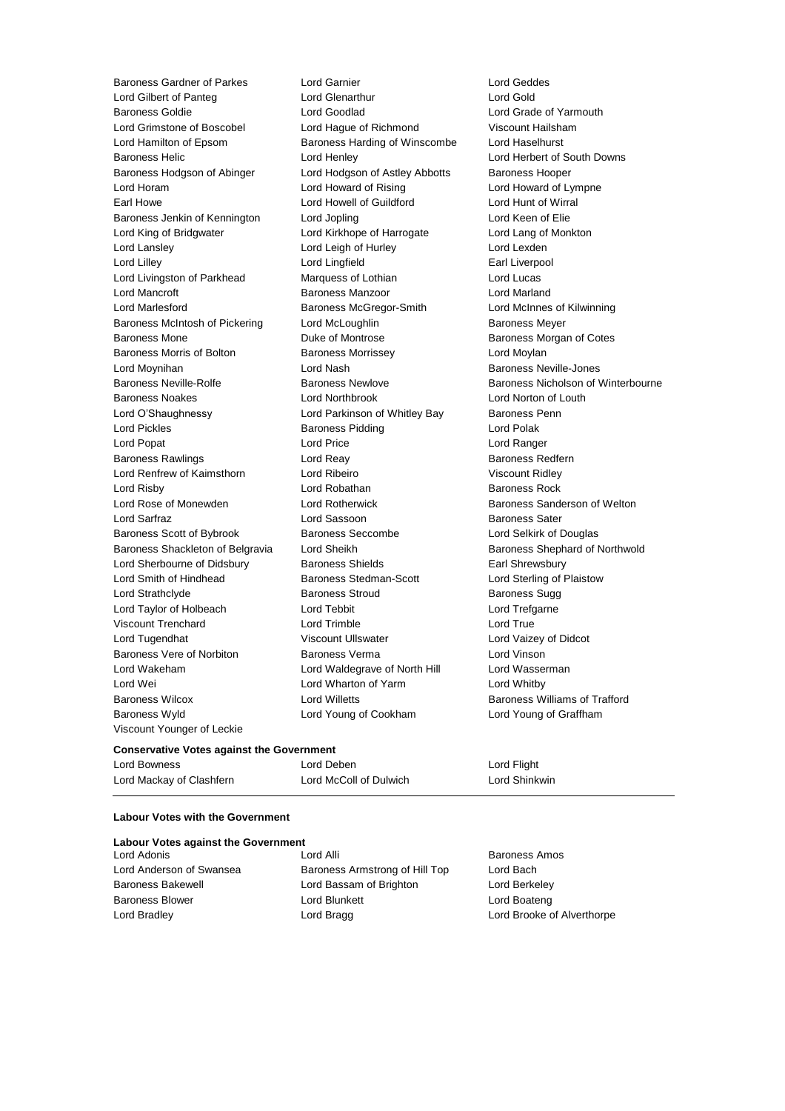Baroness Gardner of Parkes Lord Garnier Lord Geddes Lord Gilbert of Panteg **Lord Glenarthur** Lord Gold Baroness Goldie Lord Goodlad Lord Grade of Yarmouth Lord Grimstone of Boscobel Lord Hague of Richmond Viscount Hailsham Lord Hamilton of Epsom Baroness Harding of Winscombe Lord Haselhurst Baroness Helic Lord Henley Lord Herbert of South Downs Baroness Hodgson of Abinger Lord Hodgson of Astley Abbotts Baroness Hooper Lord Horam Lord Howard of Rising Lord Howard of Lympne Earl Howe Lord Howell of Guildford Lord Hunt of Wirral Baroness Jenkin of Kennington Lord Jopling Lord Keen of Elie Lord King of Bridgwater Lord Kirkhope of Harrogate Lord Lang of Monkton Lord Lansley **Lord Leigh of Hurley** Lord Lexden Lord Lilley Lord Lingfield Earl Liverpool Lord Livingston of Parkhead Marquess of Lothian Lord Lucas Lord Mancroft **Baroness Manzoor** Baroness Manzoor **Lord Marland** Lord Marlesford Baroness McGregor-Smith Lord McInnes of Kilwinning Baroness McIntosh of Pickering Lord McLoughlin Baroness Meyer Baroness Mone Duke of Montrose Baroness Morgan of Cotes Baroness Morris of Bolton Baroness Morrissey Carolic Lord Moylan Lord Moynihan Lord Nash Baroness Neville-Jones Baroness Noakes Lord Northbrook Lord Norton of Louth Lord O'Shaughnessy **Lord Parkinson of Whitley Bay** Baroness Penn Lord Pickles **Baroness Pidding Lord Polak** Lord Polak Lord Popat Lord Price Lord Ranger Baroness Rawlings **Baroness Redfern** Lord Reay **Baroness Redfern** Lord Renfrew of Kaimsthorn Lord Ribeiro Viscount Ridley Lord Risby **Lord Robathan** Baroness Rock **Container Baroness Rock** Lord Rose of Monewden Lord Rotherwick Baroness Sanderson of Welton Lord Sarfraz Lord Sassoon Baroness Sater Baroness Scott of Bybrook Baroness Seccombe Lord Selkirk of Douglas Baroness Shackleton of Belgravia Lord Sheikh Baroness Shephard of Northwold Lord Sherbourne of Didsbury **Baroness Shields** Earl Shrewsbury Lord Smith of Hindhead Baroness Stedman-Scott Lord Sterling of Plaistow Lord Strathclyde **Baroness Stroud** Baroness Sugg Lord Taylor of Holbeach Lord Tebbit Lord Trefgarne Viscount Trenchard Lord Trimble Lord True Lord Tugendhat Viscount Ullswater Lord Vaizey of Didcot Baroness Vere of Norbiton Baroness Verma Lord Vinson Lord Wakeham **Lord Waldegrave of North Hill** Lord Wasserman Lord Wei **Lord Wharton of Yarm** Muslem Lord Whitby Baroness Wilcox **Lord Willetts** Baroness Williams of Trafford Baroness Wyld Lord Young of Cookham Lord Young of Graffham Viscount Younger of Leckie

Baroness Neville-Rolfe Baroness Newlove Baroness Nicholson of Winterbourne

## **Conservative Votes against the Government**

| Lord Bowness             | Lord Deben             | Lord Flight   |
|--------------------------|------------------------|---------------|
| Lord Mackay of Clashfern | Lord McColl of Dulwich | Lord Shinkwin |

## **Labour Votes with the Government**

|  |  |  |  | <b>Labour Votes against the Government</b> |
|--|--|--|--|--------------------------------------------|
|--|--|--|--|--------------------------------------------|

Lord Adonis Lord Alli Baroness Amos Lord Anderson of Swansea Baroness Armstrong of Hill Top Lord Bach Baroness Bakewell Lord Bassam of Brighton Lord Berkeley Baroness Blower **Lord Blunkett** Lord Boateng Lord Boateng Lord Bradley Lord Bragg Lord Brooke of Alverthorpe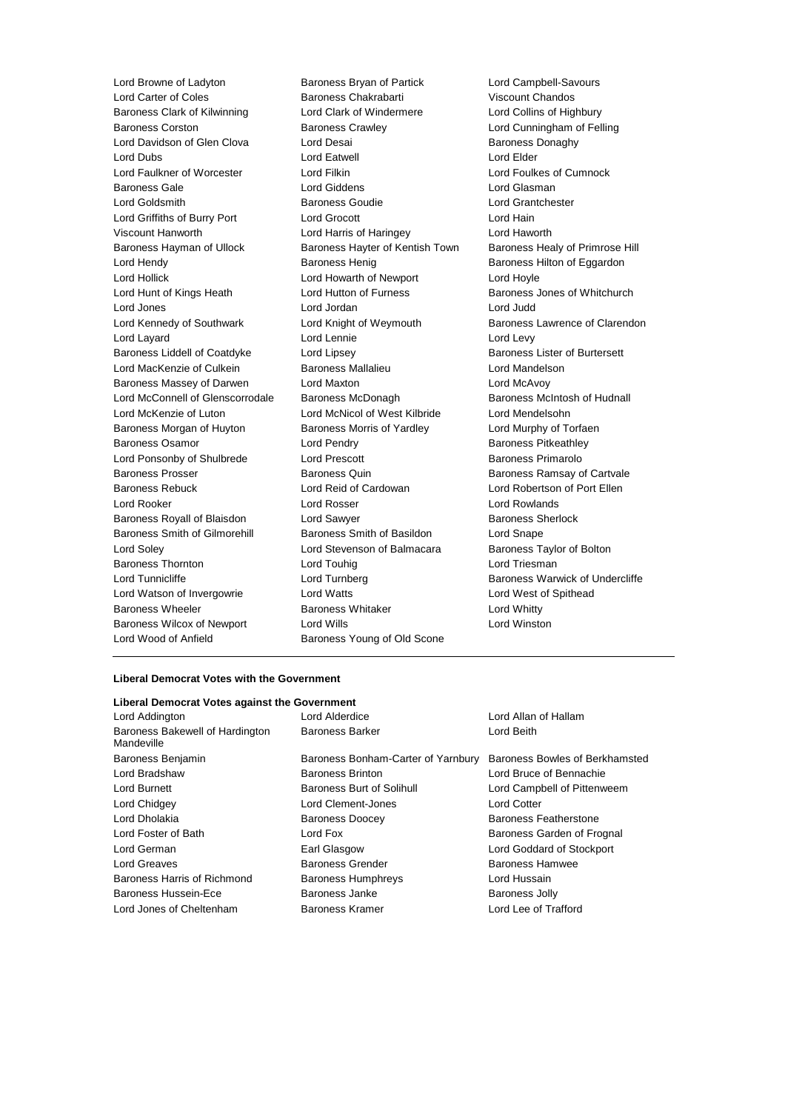Lord Browne of Ladyton **Baroness Bryan of Partick** Lord Campbell-Savours<br>
Lord Carter of Coles **Baroness Chakrabarti** Viscount Chandos Lord Carter of Coles Baroness Chakrabarti Baroness Clark of Kilwinning Lord Clark of Windermere Lord Collins of Highbury Baroness Corston Baroness Crawley Lord Cunningham of Felling Lord Davidson of Glen Clova Lord Desai **Baroness Donaghy** Baroness Donaghy Lord Dubs Lord Eatwell Lord Elder Lord Faulkner of Worcester Lord Filkin Lord Foulkes of Cumnock Baroness Gale Lord Giddens Lord Glasman Lord Goldsmith Baroness Goudie Lord Grantchester Lord Griffiths of Burry Port Lord Grocott Lord Hain Viscount Hanworth Lord Harris of Haringey Lord Haworth Baroness Hayman of Ullock Baroness Hayter of Kentish Town Baroness Healy of Primrose Hill Lord Hendy **Baroness Henig** Baroness Henig Baroness Hilton of Eggardon Lord Hollick Lord Howarth of Newport Lord Hoyle Lord Hunt of Kings Heath Lord Hutton of Furness **Baroness Jones of Whitchurch** Lord Jones Lord Jordan Lord Judd Lord Kennedy of Southwark Lord Knight of Weymouth Baroness Lawrence of Clarendon Lord Layard **Lord Lennie** Lord Lennie **Lord Levy** Baroness Liddell of Coatdyke Lord Lipsey Communication Baroness Lister of Burtersett Lord MacKenzie of Culkein **Baroness Mallalieu** Lord Mandelson Baroness Massey of Darwen Lord Maxton Lord McAvoy Lord McConnell of Glenscorrodale Baroness McDonagh Baroness McIntosh of Hudnall Lord McKenzie of Luton Lord McNicol of West Kilbride Lord Mendelsohn Baroness Morgan of Huyton Baroness Morris of Yardley **Lord Murphy of Torfaen** Baroness Osamor **Lord Pendry Community** Baroness Pitkeathley Lord Ponsonby of Shulbrede Lord Prescott Cord Baroness Primarolo Baroness Prosser Baroness Quin Baroness Ramsay of Cartvale Baroness Rebuck Lord Reid of Cardowan Lord Robertson of Port Ellen Lord Rooker Lord Rosser Lord Rowlands Baroness Royall of Blaisdon Lord Sawyer **Baroness Sherlock** Baroness Sherlock Baroness Smith of Gilmorehill Baroness Smith of Basildon Lord Snape Lord Soley Lord Stevenson of Balmacara Baroness Taylor of Bolton Baroness Thornton **Lord Touhig Lord Triesman** Lord Triesman Lord Tunnicliffe **Lord Turnberg Lord Baroness Warwick of Undercliffe** Lord Watson of Invergowrie Lord Watts Lord West of Spithead Baroness Wheeler **Baroness Whitaker** Lord Whitty Baroness Wilcox of Newport Lord Wills Lord Winston Lord Wood of Anfield Baroness Young of Old Scone

### **Liberal Democrat Votes with the Government**

| Liberal Democrat Votes against the Government |                                    |                                |  |  |
|-----------------------------------------------|------------------------------------|--------------------------------|--|--|
| Lord Addington                                | Lord Alderdice                     | Lord Allan of Hallam           |  |  |
| Baroness Bakewell of Hardington<br>Mandeville | Baroness Barker                    | Lord Beith                     |  |  |
| Baroness Benjamin                             | Baroness Bonham-Carter of Yarnbury | Baroness Bowles of Berkhamsted |  |  |
| Lord Bradshaw                                 | <b>Baroness Brinton</b>            | Lord Bruce of Bennachie        |  |  |
| Lord Burnett                                  | Baroness Burt of Solihull          | Lord Campbell of Pittenweem    |  |  |
| Lord Chidgey                                  | Lord Clement-Jones                 | <b>Lord Cotter</b>             |  |  |
| Lord Dholakia                                 | <b>Baroness Doocey</b>             | Baroness Featherstone          |  |  |
| Lord Foster of Bath                           | Lord Fox                           | Baroness Garden of Frognal     |  |  |
| Lord German                                   | Earl Glasgow                       | Lord Goddard of Stockport      |  |  |
| Lord Greaves                                  | <b>Baroness Grender</b>            | Baroness Hamwee                |  |  |
| Baroness Harris of Richmond                   | <b>Baroness Humphreys</b>          | Lord Hussain                   |  |  |
| Baroness Hussein-Ece                          | Baroness Janke                     | <b>Baroness Jolly</b>          |  |  |
| Lord Jones of Cheltenham                      | Baroness Kramer                    | Lord Lee of Trafford           |  |  |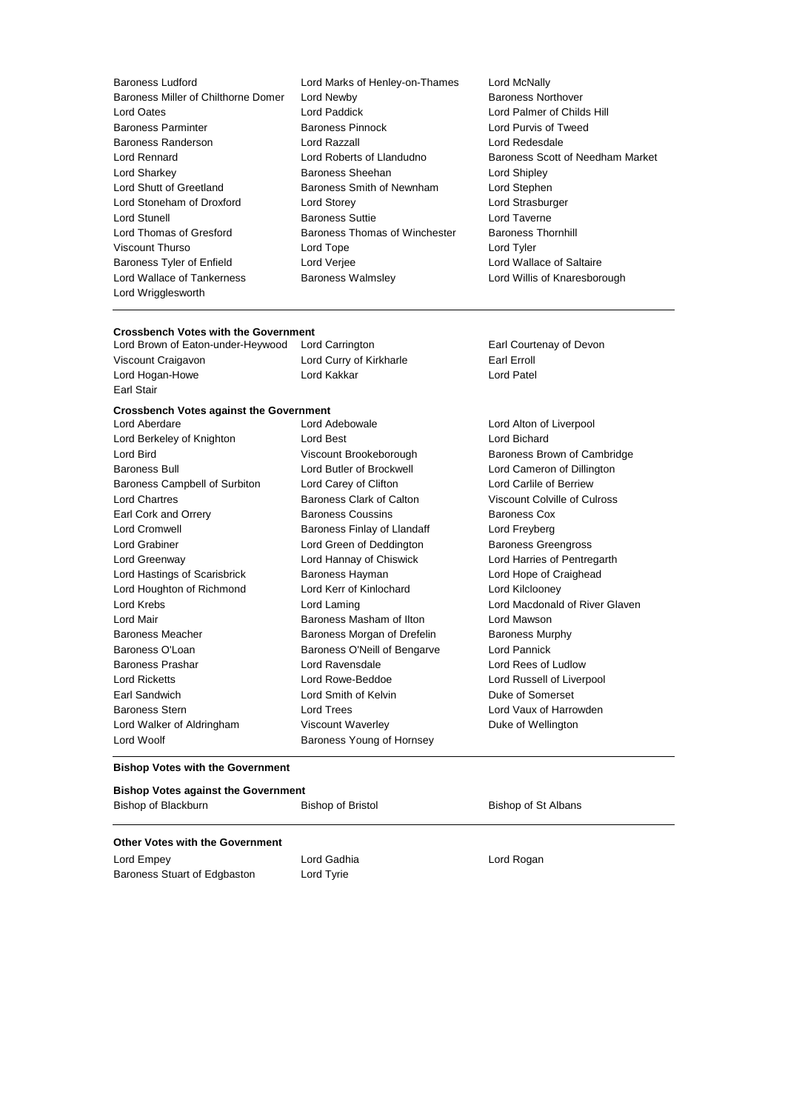- Baroness Ludford Lord Marks of Henley-on-Thames Lord McNally Baroness Miller of Chilthorne Domer Lord Newby Baroness Northover<br>
Lord Oates Lord Palmer of Chilc Lord Oates Lord Paddick Lord Palmer of Childs Hill Baroness Parminter Baroness Pinnock Lord Purvis of Tweed Baroness Randerson Lord Razzall Lord Redesdale Lord Rennard Lord Roberts of Llandudno Baroness Scott of Needham Market Lord Sharkey Baroness Sheehan Lord Shipley Lord Shutt of Greetland **Baroness Smith of Newnham** Lord Stephen Lord Stoneham of Droxford Lord Storey Lord Strasburger Lord Stunell **Baroness Suttie Lord Taverne** Lord Thomas of Gresford Baroness Thomas of Winchester Baroness Thornhill Viscount Thurso Lord Tope Lord Tyler Baroness Tyler of Enfield Lord Verjee Lord Wallace of Saltaire Lord Wallace of Tankerness Baroness Walmsley Lord Willis of Knaresborough Lord Wrigglesworth
	-

## **Crossbench Votes with the Government**<br>Lord Brown of Eaton-under-Heywood Lord Carrington

Lord Brown of Eaton-under-Heywood Lord Carrington **Earl Courtenay of Devon** Viscount Craigavon **Lord Curry of Kirkharle** Earl Erroll Lord Hogan-Howe Lord Kakkar Lord Patel

Earl Stair

## **Crossbench Votes against the Government**

Lord Berkeley of Knighton **Lord Best** Lord Best **Lord Bichard** Lord Bird **Bird Baroness Brown of Cambridge** Viscount Brookeborough **Baroness Brown of Cambridge** Baroness Bull Lord Butler of Brockwell Lord Cameron of Dillington Baroness Campbell of Surbiton Lord Carey of Clifton Lord Carlile of Berriew Lord Chartres **Baroness Clark of Calton** Viscount Colville of Culross Clark of Calton Viscount Colville of Culross Earl Cork and Orrery **Baroness Coussins** Baroness Cox Lord Cromwell **Baroness Finlay of Llandaff** Lord Freyberg Lord Freyberg Lord Grabiner Lord Green of Deddington Baroness Greengross Lord Greenway Lord Hannay of Chiswick Lord Harries of Pentregarth Lord Hastings of Scarisbrick Baroness Hayman Lord Hope of Craighead Lord Houghton of Richmond Lord Kerr of Kinlochard Lord Kilclooney Lord Krebs Lord Laming Lord Macdonald of River Glaven Lord Mair Baroness Masham of Ilton Lord Mawson Baroness Meacher **Baroness Morgan of Drefelin** Baroness Murphy Baroness O'Loan **Baroness O'Neill of Bengarve** Lord Pannick Baroness Prashar Lord Ravensdale Lord Rees of Ludlow Lord Ricketts Lord Rowe-Beddoe Lord Russell of Liverpool Earl Sandwich **Lord Smith of Kelvin** Duke of Somerset Baroness Stern **Lord Trees** Lord Trees **Lord Vaux of Harrowden** Lord Walker of Aldringham Viscount Waverley Duke of Wellington Lord Woolf **Baroness Young of Hornsey** 

Lord Aberdare Lord Adebowale Lord Alton of Liverpool

### **Bishop Votes with the Government**

### **Bishop Votes against the Government**

| Bishop of Blackburn | Bishop of Bristol | Bishop of St Albans |
|---------------------|-------------------|---------------------|
|                     |                   |                     |

## **Other Votes with the Government**

Lord Empey **Lord Gadhia** Lord Gadhia **Lord Communist Lord Rogan** Baroness Stuart of Edgbaston Lord Tyrie